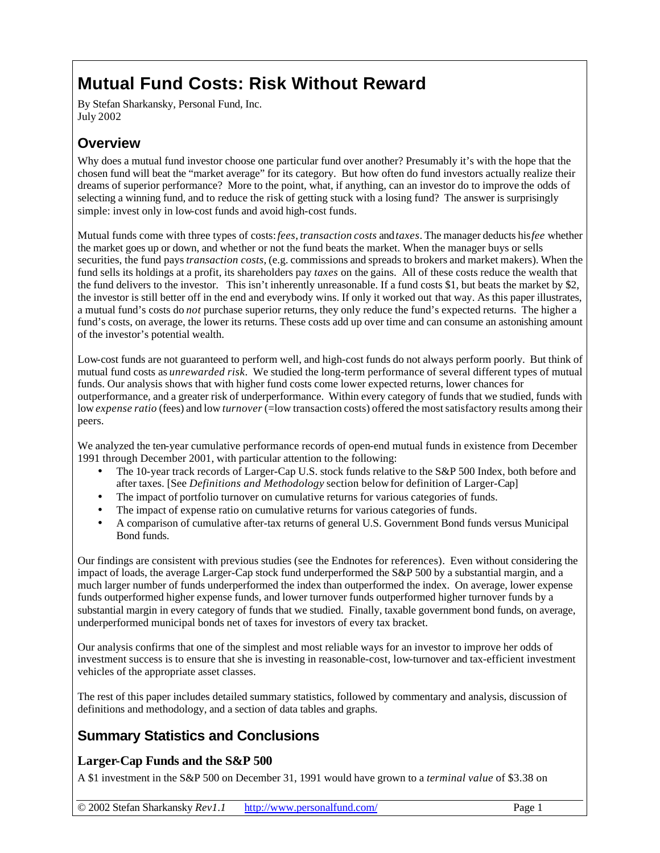# **Mutual Fund Costs: Risk Without Reward**

By Stefan Sharkansky, Personal Fund, Inc. July 2002

## **Overview**

Why does a mutual fund investor choose one particular fund over another? Presumably it's with the hope that the chosen fund will beat the "market average" for its category. But how often do fund investors actually realize their dreams of superior performance? More to the point, what, if anything, can an investor do to improve the odds of selecting a winning fund, and to reduce the risk of getting stuck with a losing fund? The answer is surprisingly simple: invest only in low-cost funds and avoid high-cost funds.

Mutual funds come with three types of costs: *fees*, *transaction costs* and *taxes*. The manager deducts his *fee* whether the market goes up or down, and whether or not the fund beats the market. When the manager buys or sells securities, the fund pays *transaction costs*, (e.g. commissions and spreads to brokers and market makers). When the fund sells its holdings at a profit, its shareholders pay *taxes* on the gains. All of these costs reduce the wealth that the fund delivers to the investor. This isn't inherently unreasonable. If a fund costs \$1, but beats the market by \$2, the investor is still better off in the end and everybody wins. If only it worked out that way. As this paper illustrates, a mutual fund's costs do *not* purchase superior returns, they only reduce the fund's expected returns. The higher a fund's costs, on average, the lower its returns. These costs add up over time and can consume an astonishing amount of the investor's potential wealth.

Low-cost funds are not guaranteed to perform well, and high-cost funds do not always perform poorly. But think of mutual fund costs as *unrewarded risk*. We studied the long-term performance of several different types of mutual funds. Our analysis shows that with higher fund costs come lower expected returns, lower chances for outperformance, and a greater risk of underperformance. Within every category of funds that we studied, funds with low *expense ratio* (fees) and low *turnover* (=low transaction costs) offered the most satisfactory results among their peers.

We analyzed the ten-year cumulative performance records of open-end mutual funds in existence from December 1991 through December 2001, with particular attention to the following:

- The 10-year track records of Larger-Cap U.S. stock funds relative to the S&P 500 Index, both before and after taxes. [See *Definitions and Methodology* section below for definition of Larger-Cap]
- The impact of portfolio turnover on cumulative returns for various categories of funds.
- The impact of expense ratio on cumulative returns for various categories of funds.
- A comparison of cumulative after-tax returns of general U.S. Government Bond funds versus Municipal Bond funds.

Our findings are consistent with previous studies (see the Endnotes for references). Even without considering the impact of loads, the average Larger-Cap stock fund underperformed the S&P 500 by a substantial margin, and a much larger number of funds underperformed the index than outperformed the index. On average, lower expense funds outperformed higher expense funds, and lower turnover funds outperformed higher turnover funds by a substantial margin in every category of funds that we studied. Finally, taxable government bond funds, on average, underperformed municipal bonds net of taxes for investors of every tax bracket.

Our analysis confirms that one of the simplest and most reliable ways for an investor to improve her odds of investment success is to ensure that she is investing in reasonable-cost, low-turnover and tax-efficient investment vehicles of the appropriate asset classes.

The rest of this paper includes detailed summary statistics, followed by commentary and analysis, discussion of definitions and methodology, and a section of data tables and graphs.

## **Summary Statistics and Conclusions**

## **Larger-Cap Funds and the S&P 500**

A \$1 investment in the S&P 500 on December 31, 1991 would have grown to a *terminal value* of \$3.38 on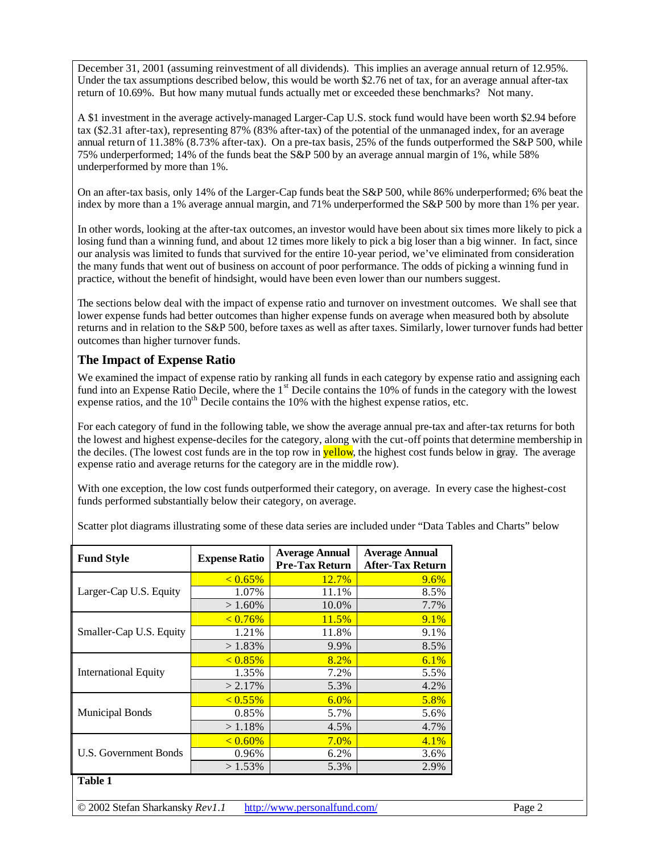December 31, 2001 (assuming reinvestment of all dividends). This implies an average annual return of 12.95%. Under the tax assumptions described below, this would be worth \$2.76 net of tax, for an average annual after-tax return of 10.69%. But how many mutual funds actually met or exceeded these benchmarks? Not many.

A \$1 investment in the average actively-managed Larger-Cap U.S. stock fund would have been worth \$2.94 before tax (\$2.31 after-tax), representing 87% (83% after-tax) of the potential of the unmanaged index, for an average annual return of 11.38% (8.73% after-tax). On a pre-tax basis, 25% of the funds outperformed the S&P 500, while 75% underperformed; 14% of the funds beat the S&P 500 by an average annual margin of 1%, while 58% underperformed by more than 1%.

On an after-tax basis, only 14% of the Larger-Cap funds beat the S&P 500, while 86% underperformed; 6% beat the index by more than a 1% average annual margin, and 71% underperformed the S&P 500 by more than 1% per year.

In other words, looking at the after-tax outcomes, an investor would have been about six times more likely to pick a losing fund than a winning fund, and about 12 times more likely to pick a big loser than a big winner. In fact, since our analysis was limited to funds that survived for the entire 10-year period, we've eliminated from consideration the many funds that went out of business on account of poor performance. The odds of picking a winning fund in practice, without the benefit of hindsight, would have been even lower than our numbers suggest.

The sections below deal with the impact of expense ratio and turnover on investment outcomes. We shall see that lower expense funds had better outcomes than higher expense funds on average when measured both by absolute returns and in relation to the S&P 500, before taxes as well as after taxes. Similarly, lower turnover funds had better outcomes than higher turnover funds.

## **The Impact of Expense Ratio**

We examined the impact of expense ratio by ranking all funds in each category by expense ratio and assigning each fund into an Expense Ratio Decile, where the  $1<sup>st</sup>$  Decile contains the 10% of funds in the category with the lowest expense ratios, and the  $10<sup>th</sup>$  Decile contains the 10% with the highest expense ratios, etc.

For each category of fund in the following table, we show the average annual pre-tax and after-tax returns for both the lowest and highest expense-deciles for the category, along with the cut-off points that determine membership in the deciles. (The lowest cost funds are in the top row in **yellow**, the highest cost funds below in gray. The average expense ratio and average returns for the category are in the middle row).

With one exception, the low cost funds outperformed their category, on average. In every case the highest-cost funds performed substantially below their category, on average.

| Scatter plot diagrams illustrating some of these data series are included under "Data Tables and Charts" below |  |  |  |  |
|----------------------------------------------------------------------------------------------------------------|--|--|--|--|
|                                                                                                                |  |  |  |  |

| <b>Fund Style</b>           | <b>Expense Ratio</b> | <b>Average Annual</b><br><b>Pre-Tax Return</b> | <b>Average Annual</b><br><b>After-Tax Return</b> |
|-----------------------------|----------------------|------------------------------------------------|--------------------------------------------------|
|                             | $< 0.65\%$           | 12.7%                                          | 9.6%                                             |
| Larger-Cap U.S. Equity      | 1.07%                | 11.1%                                          | 8.5%                                             |
|                             | $>1.60\%$            | 10.0%                                          | 7.7%                                             |
|                             | $< 0.76\%$           | 11.5%                                          | 9.1%                                             |
| Smaller-Cap U.S. Equity     | 1.21%                | 11.8%                                          | 9.1%                                             |
|                             | $>1.83\%$            | 9.9%                                           | 8.5%                                             |
|                             | $< 0.85\%$           | 8.2%                                           | 6.1%                                             |
| <b>International Equity</b> | 1.35%                | 7.2%                                           | 5.5%                                             |
|                             | $> 2.17\%$           | 5.3%                                           | 4.2%                                             |
|                             | $< 0.55\%$           | 6.0%                                           | 5.8%                                             |
| <b>Municipal Bonds</b>      | 0.85%                | 5.7%                                           | 5.6%                                             |
|                             | >1.18%               | 4.5%                                           | 4.7%                                             |
|                             | $< 0.60\%$           | 7.0%                                           | 4.1%                                             |
| U.S. Government Bonds       | 0.96%                | 6.2%                                           | 3.6%                                             |
|                             | $>1.53\%$            | 5.3%                                           | 2.9%                                             |
| <b>Table 1</b>              |                      |                                                |                                                  |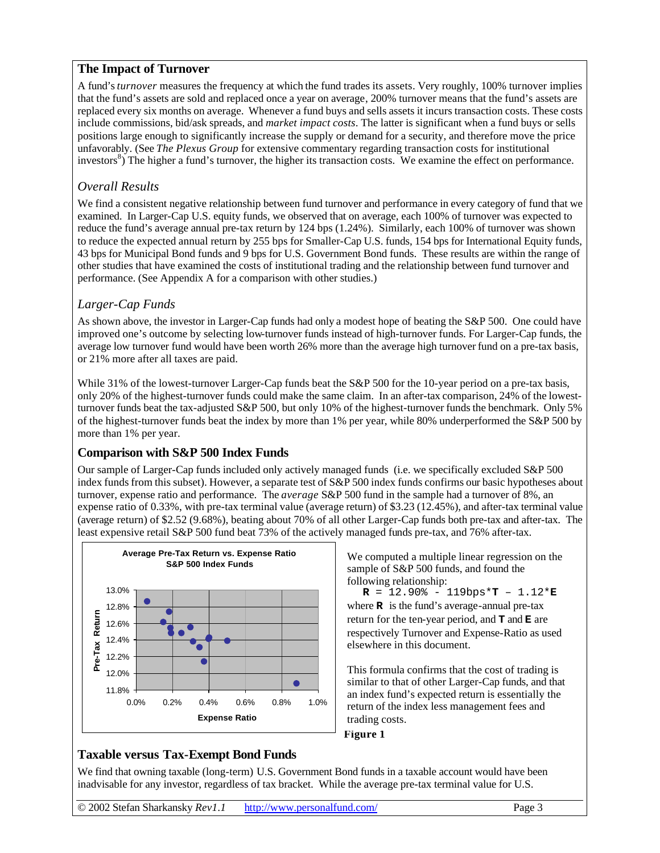## **The Impact of Turnover**

A fund's *turnover* measures the frequency at which the fund trades its assets. Very roughly, 100% turnover implies that the fund's assets are sold and replaced once a year on average, 200% turnover means that the fund's assets are replaced every six months on average. Whenever a fund buys and sells assets it incurs transaction costs. These costs include commissions, bid/ask spreads, and *market impact costs*. The latter is significant when a fund buys or sells positions large enough to significantly increase the supply or demand for a security, and therefore move the price unfavorably. (See *The Plexus Group* for extensive commentary regarding transaction costs for institutional investors<sup>8</sup>) The higher a fund's turnover, the higher its transaction costs. We examine the effect on performance.

### *Overall Results*

We find a consistent negative relationship between fund turnover and performance in every category of fund that we examined. In Larger-Cap U.S. equity funds, we observed that on average, each 100% of turnover was expected to reduce the fund's average annual pre-tax return by 124 bps (1.24%). Similarly, each 100% of turnover was shown to reduce the expected annual return by 255 bps for Smaller-Cap U.S. funds, 154 bps for International Equity funds, 43 bps for Municipal Bond funds and 9 bps for U.S. Government Bond funds. These results are within the range of other studies that have examined the costs of institutional trading and the relationship between fund turnover and performance. (See Appendix A for a comparison with other studies.)

## *Larger-Cap Funds*

As shown above, the investor in Larger-Cap funds had only a modest hope of beating the S&P 500. One could have improved one's outcome by selecting low-turnover funds instead of high-turnover funds. For Larger-Cap funds, the average low turnover fund would have been worth 26% more than the average high turnover fund on a pre-tax basis, or 21% more after all taxes are paid.

While 31% of the lowest-turnover Larger-Cap funds beat the S&P 500 for the 10-year period on a pre-tax basis, only 20% of the highest-turnover funds could make the same claim. In an after-tax comparison, 24% of the lowestturnover funds beat the tax-adjusted S&P 500, but only 10% of the highest-turnover funds the benchmark. Only 5% of the highest-turnover funds beat the index by more than 1% per year, while 80% underperformed the S&P 500 by more than 1% per year.

## **Comparison with S&P 500 Index Funds**

Our sample of Larger-Cap funds included only actively managed funds (i.e. we specifically excluded S&P 500 index funds from this subset). However, a separate test of S&P 500 index funds confirms our basic hypotheses about turnover, expense ratio and performance. The *average* S&P 500 fund in the sample had a turnover of 8%, an expense ratio of 0.33%, with pre-tax terminal value (average return) of \$3.23 (12.45%), and after-tax terminal value (average return) of \$2.52 (9.68%), beating about 70% of all other Larger-Cap funds both pre-tax and after-tax. The least expensive retail S&P 500 fund beat 73% of the actively managed funds pre-tax, and 76% after-tax.



We computed a multiple linear regression on the sample of S&P 500 funds, and found the following relationship:

 $R = 12.90\% - 119bps*T - 1.12*E$ where **R** is the fund's average-annual pre-tax return for the ten-year period, and **T** and **E** are respectively Turnover and Expense-Ratio as used elsewhere in this document.

This formula confirms that the cost of trading is similar to that of other Larger-Cap funds, and that an index fund's expected return is essentially the return of the index less management fees and trading costs.



### **Taxable versus Tax-Exempt Bond Funds**

We find that owning taxable (long-term) U.S. Government Bond funds in a taxable account would have been inadvisable for any investor, regardless of tax bracket. While the average pre-tax terminal value for U.S.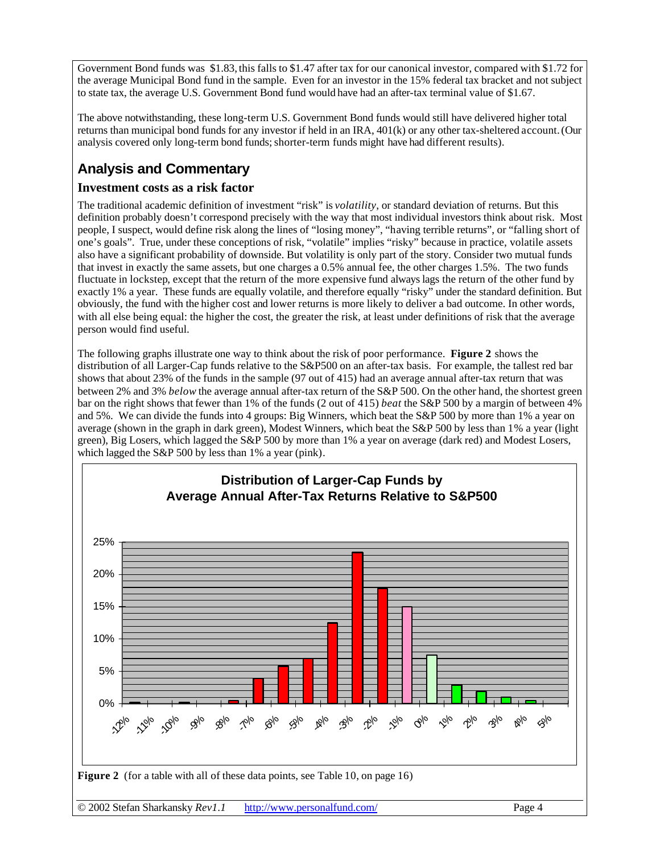Government Bond funds was \$1.83, this falls to \$1.47 after tax for our canonical investor, compared with \$1.72 for the average Municipal Bond fund in the sample. Even for an investor in the 15% federal tax bracket and not subject to state tax, the average U.S. Government Bond fund would have had an after-tax terminal value of \$1.67.

The above notwithstanding, these long-term U.S. Government Bond funds would still have delivered higher total returns than municipal bond funds for any investor if held in an IRA, 401(k) or any other tax-sheltered account.(Our analysis covered only long-term bond funds;shorter-term funds might have had different results).

## **Analysis and Commentary**

### **Investment costs as a risk factor**

The traditional academic definition of investment "risk" is *volatility*, or standard deviation of returns. But this definition probably doesn't correspond precisely with the way that most individual investors think about risk. Most people, I suspect, would define risk along the lines of "losing money", "having terrible returns", or "falling short of one's goals". True, under these conceptions of risk, "volatile" implies "risky" because in practice, volatile assets also have a significant probability of downside. But volatility is only part of the story. Consider two mutual funds that invest in exactly the same assets, but one charges a 0.5% annual fee, the other charges 1.5%. The two funds fluctuate in lockstep, except that the return of the more expensive fund always lags the return of the other fund by exactly 1% a year. These funds are equally volatile, and therefore equally "risky" under the standard definition. But obviously, the fund with the higher cost and lower returns is more likely to deliver a bad outcome. In other words, with all else being equal: the higher the cost, the greater the risk, at least under definitions of risk that the average person would find useful.

The following graphs illustrate one way to think about the risk of poor performance. **Figure 2** shows the distribution of all Larger-Cap funds relative to the S&P500 on an after-tax basis. For example, the tallest red bar shows that about 23% of the funds in the sample (97 out of 415) had an average annual after-tax return that was between 2% and 3% *below* the average annual after-tax return of the S&P 500. On the other hand, the shortest green bar on the right shows that fewer than 1% of the funds (2 out of 415) *beat* the S&P 500 by a margin of between 4% and 5%. We can divide the funds into 4 groups: Big Winners, which beat the S&P 500 by more than 1% a year on average (shown in the graph in dark green), Modest Winners, which beat the S&P 500 by less than 1% a year (light green), Big Losers, which lagged the S&P 500 by more than 1% a year on average (dark red) and Modest Losers, which lagged the S&P 500 by less than 1% a year (pink).

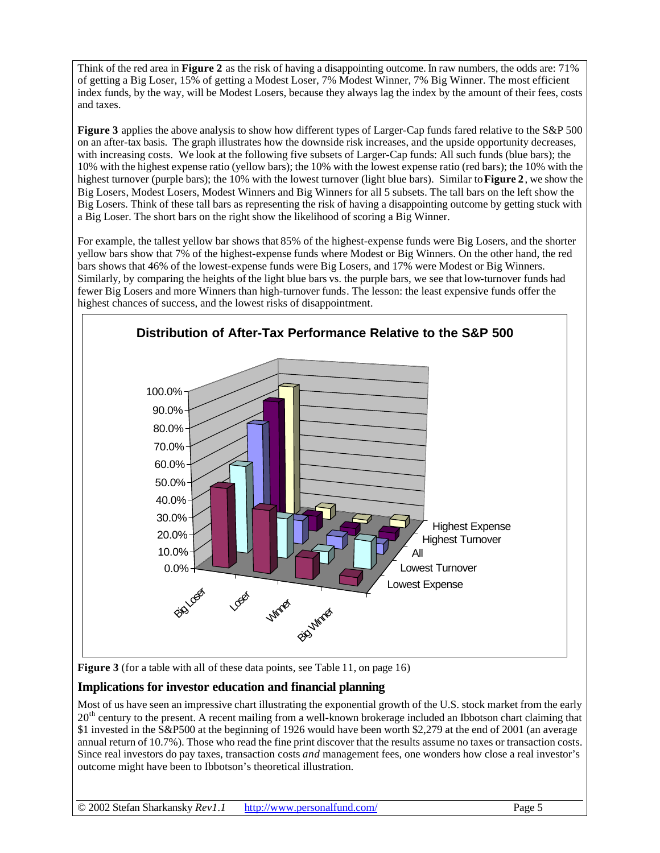Think of the red area in **Figure 2** as the risk of having a disappointing outcome. In raw numbers, the odds are: 71% of getting a Big Loser, 15% of getting a Modest Loser, 7% Modest Winner, 7% Big Winner. The most efficient index funds, by the way, will be Modest Losers, because they always lag the index by the amount of their fees, costs and taxes.

**Figure 3** applies the above analysis to show how different types of Larger-Cap funds fared relative to the S&P 500 on an after-tax basis. The graph illustrates how the downside risk increases, and the upside opportunity decreases, with increasing costs. We look at the following five subsets of Larger-Cap funds: All such funds (blue bars); the 10% with the highest expense ratio (yellow bars); the 10% with the lowest expense ratio (red bars); the 10% with the highest turnover (purple bars); the 10% with the lowest turnover (light blue bars). Similar to **Figure 2** , we show the Big Losers, Modest Losers, Modest Winners and Big Winners for all 5 subsets. The tall bars on the left show the Big Losers. Think of these tall bars as representing the risk of having a disappointing outcome by getting stuck with a Big Loser. The short bars on the right show the likelihood of scoring a Big Winner.

For example, the tallest yellow bar shows that 85% of the highest-expense funds were Big Losers, and the shorter yellow bars show that 7% of the highest-expense funds where Modest or Big Winners. On the other hand, the red bars shows that 46% of the lowest-expense funds were Big Losers, and 17% were Modest or Big Winners. Similarly, by comparing the heights of the light blue bars vs. the purple bars, we see that low-turnover funds had fewer Big Losers and more Winners than high-turnover funds. The lesson: the least expensive funds offer the highest chances of success, and the lowest risks of disappointment.



**Figure 3** (for a table with all of these data points, see Table 11, on page 16)

### **Implications for investor education and financial planning**

Most of us have seen an impressive chart illustrating the exponential growth of the U.S. stock market from the early 20<sup>th</sup> century to the present. A recent mailing from a well-known brokerage included an Ibbotson chart claiming that \$1 invested in the S&P500 at the beginning of 1926 would have been worth \$2,279 at the end of 2001 (an average annual return of 10.7%). Those who read the fine print discover that the results assume no taxes or transaction costs. Since real investors do pay taxes, transaction costs *and* management fees, one wonders how close a real investor's outcome might have been to Ibbotson's theoretical illustration.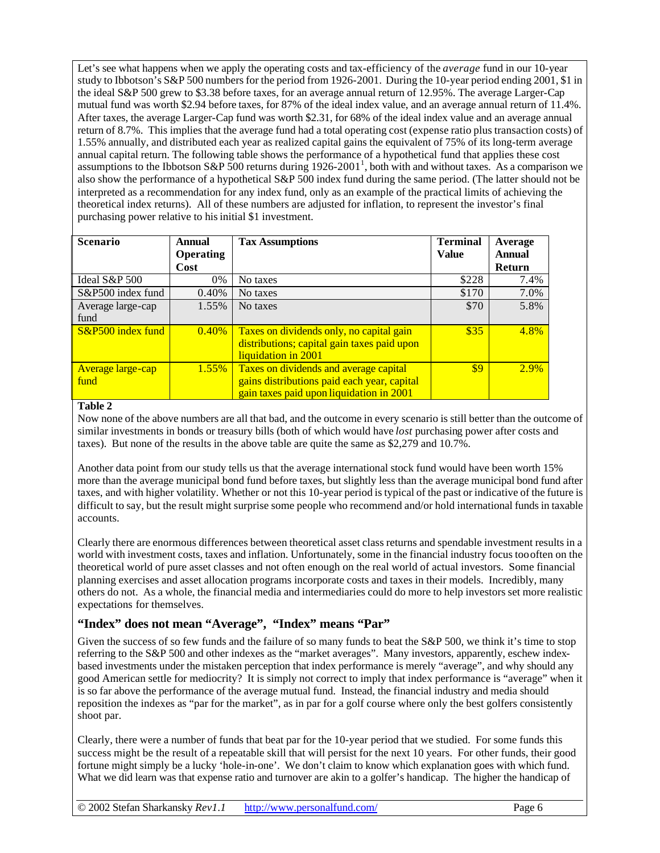Let's see what happens when we apply the operating costs and tax-efficiency of the *average* fund in our 10-year study to Ibbotson's S&P 500 numbers for the period from 1926-2001. During the 10-year period ending 2001, \$1 in the ideal S&P 500 grew to \$3.38 before taxes, for an average annual return of 12.95%. The average Larger-Cap mutual fund was worth \$2.94 before taxes, for 87% of the ideal index value, and an average annual return of 11.4%. After taxes, the average Larger-Cap fund was worth \$2.31, for 68% of the ideal index value and an average annual return of 8.7%. This implies that the average fund had a total operating cost (expense ratio plus transaction costs) of 1.55% annually, and distributed each year as realized capital gains the equivalent of 75% of its long-term average annual capital return. The following table shows the performance of a hypothetical fund that applies these cost assumptions to the Ibbotson S&P 500 returns during  $1926-2001^1$ , both with and without taxes. As a comparison we also show the performance of a hypothetical S&P 500 index fund during the same period. (The latter should not be interpreted as a recommendation for any index fund, only as an example of the practical limits of achieving the theoretical index returns). All of these numbers are adjusted for inflation, to represent the investor's final purchasing power relative to his initial \$1 investment.

| <b>Scenario</b>          | Annual<br><b>Operating</b> | <b>Tax Assumptions</b>                      | <b>Terminal</b><br><b>Value</b> | Average<br>Annual |
|--------------------------|----------------------------|---------------------------------------------|---------------------------------|-------------------|
|                          | Cost                       |                                             |                                 | Return            |
| Ideal S&P 500            | 0%                         | No taxes                                    | \$228                           | 7.4%              |
| S&P500 index fund        | 0.40%                      | No taxes                                    | \$170                           | 7.0%              |
| Average large-cap        | 1.55%                      | No taxes                                    | \$70                            | 5.8%              |
| fund                     |                            |                                             |                                 |                   |
| S&P500 index fund        | 0.40%                      | Taxes on dividends only, no capital gain    | \$35                            | 4.8%              |
|                          |                            | distributions; capital gain taxes paid upon |                                 |                   |
|                          |                            | liquidation in 2001                         |                                 |                   |
| <b>Average large-cap</b> | 1.55%                      | Taxes on dividends and average capital      | \$9                             | 2.9%              |
| fund                     |                            | gains distributions paid each year, capital |                                 |                   |
|                          |                            | gain taxes paid upon liquidation in 2001    |                                 |                   |

#### **Table 2**

Now none of the above numbers are all that bad, and the outcome in every scenario is still better than the outcome of similar investments in bonds or treasury bills (both of which would have *lost* purchasing power after costs and taxes). But none of the results in the above table are quite the same as \$2,279 and 10.7%.

Another data point from our study tells us that the average international stock fund would have been worth 15% more than the average municipal bond fund before taxes, but slightly less than the average municipal bond fund after taxes, and with higher volatility. Whether or not this 10-year period is typical of the past or indicative of the future is difficult to say, but the result might surprise some people who recommend and/or hold international funds in taxable accounts.

Clearly there are enormous differences between theoretical asset class returns and spendable investment results in a world with investment costs, taxes and inflation. Unfortunately, some in the financial industry focus too often on the theoretical world of pure asset classes and not often enough on the real world of actual investors. Some financial planning exercises and asset allocation programs incorporate costs and taxes in their models. Incredibly, many others do not. As a whole, the financial media and intermediaries could do more to help investors set more realistic expectations for themselves.

### **"Index" does not mean "Average", "Index" means "Par"**

Given the success of so few funds and the failure of so many funds to beat the S&P 500, we think it's time to stop referring to the S&P 500 and other indexes as the "market averages". Many investors, apparently, eschew indexbased investments under the mistaken perception that index performance is merely "average", and why should any good American settle for mediocrity? It is simply not correct to imply that index performance is "average" when it is so far above the performance of the average mutual fund. Instead, the financial industry and media should reposition the indexes as "par for the market", as in par for a golf course where only the best golfers consistently shoot par.

Clearly, there were a number of funds that beat par for the 10-year period that we studied. For some funds this success might be the result of a repeatable skill that will persist for the next 10 years. For other funds, their good fortune might simply be a lucky 'hole-in-one'. We don't claim to know which explanation goes with which fund. What we did learn was that expense ratio and turnover are akin to a golfer's handicap. The higher the handicap of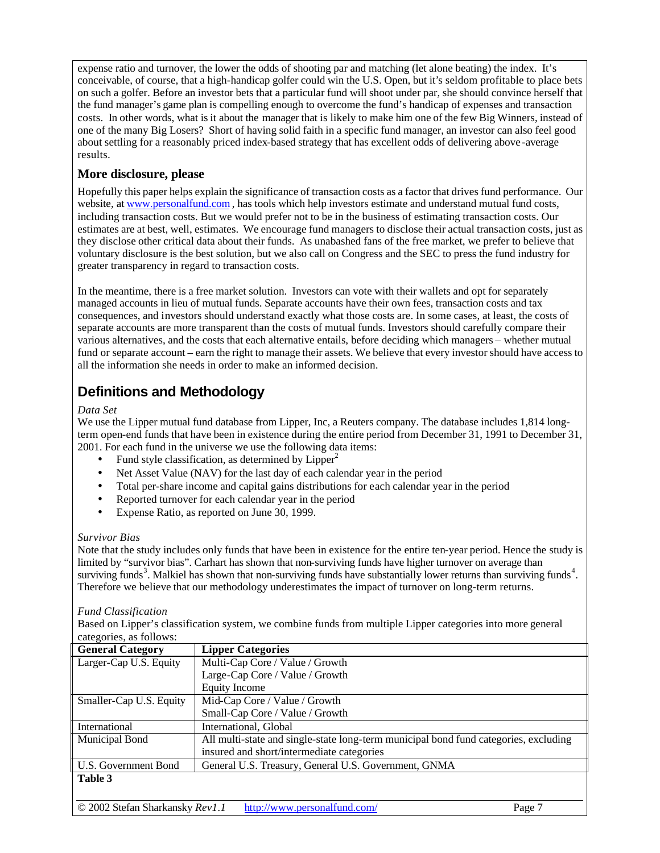expense ratio and turnover, the lower the odds of shooting par and matching (let alone beating) the index. It's conceivable, of course, that a high-handicap golfer could win the U.S. Open, but it's seldom profitable to place bets on such a golfer. Before an investor bets that a particular fund will shoot under par, she should convince herself that the fund manager's game plan is compelling enough to overcome the fund's handicap of expenses and transaction costs. In other words, what is it about the manager that is likely to make him one of the few Big Winners, instead of one of the many Big Losers? Short of having solid faith in a specific fund manager, an investor can also feel good about settling for a reasonably priced index-based strategy that has excellent odds of delivering above -average results.

## **More disclosure, please**

Hopefully this paper helps explain the significance of transaction costs as a factor that drives fund performance. Our website, at www.personalfund.com, has tools which help investors estimate and understand mutual fund costs, including transaction costs. But we would prefer not to be in the business of estimating transaction costs. Our estimates are at best, well, estimates. We encourage fund managers to disclose their actual transaction costs, just as they disclose other critical data about their funds. As unabashed fans of the free market, we prefer to believe that voluntary disclosure is the best solution, but we also call on Congress and the SEC to press the fund industry for greater transparency in regard to transaction costs.

In the meantime, there is a free market solution. Investors can vote with their wallets and opt for separately managed accounts in lieu of mutual funds. Separate accounts have their own fees, transaction costs and tax consequences, and investors should understand exactly what those costs are. In some cases, at least, the costs of separate accounts are more transparent than the costs of mutual funds. Investors should carefully compare their various alternatives, and the costs that each alternative entails, before deciding which managers – whether mutual fund or separate account – earn the right to manage their assets. We believe that every investor should have access to all the information she needs in order to make an informed decision.

## **Definitions and Methodology**

#### *Data Set*

We use the Lipper mutual fund database from Lipper, Inc, a Reuters company. The database includes 1,814 longterm open-end funds that have been in existence during the entire period from December 31, 1991 to December 31, 2001. For each fund in the universe we use the following data items:

- Fund style classification, as determined by  $Lipper<sup>2</sup>$
- Net Asset Value (NAV) for the last day of each calendar year in the period
- Total per-share income and capital gains distributions for each calendar year in the period
- Reported turnover for each calendar year in the period
- Expense Ratio, as reported on June 30, 1999.

#### *Survivor Bias*

Note that the study includes only funds that have been in existence for the entire ten-year period. Hence the study is limited by "survivor bias". Carhart has shown that non-surviving funds have higher turnover on average than surviving funds<sup>3</sup>. Malkiel has shown that non-surviving funds have substantially lower returns than surviving funds<sup>4</sup>. Therefore we believe that our methodology underestimates the impact of turnover on long-term returns.

#### *Fund Classification*

Based on Lipper's classification system, we combine funds from multiple Lipper categories into more general categories, as follows:

| <b>General Category</b>     | <b>Lipper Categories</b>                                                             |
|-----------------------------|--------------------------------------------------------------------------------------|
| Larger-Cap U.S. Equity      | Multi-Cap Core / Value / Growth                                                      |
|                             | Large-Cap Core / Value / Growth                                                      |
|                             | <b>Equity Income</b>                                                                 |
| Smaller-Cap U.S. Equity     | Mid-Cap Core / Value / Growth                                                        |
|                             | Small-Cap Core / Value / Growth                                                      |
| International               | International, Global                                                                |
| <b>Municipal Bond</b>       | All multi-state and single-state long-term municipal bond fund categories, excluding |
|                             | insured and short/intermediate categories                                            |
| <b>U.S. Government Bond</b> | General U.S. Treasury, General U.S. Government, GNMA                                 |
| Table 3                     |                                                                                      |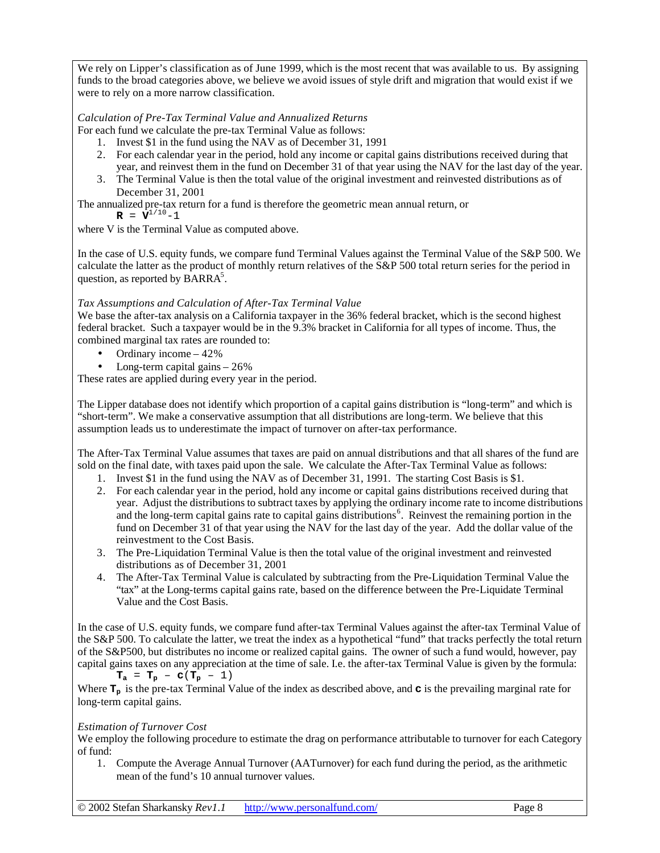We rely on Lipper's classification as of June 1999, which is the most recent that was available to us. By assigning funds to the broad categories above, we believe we avoid issues of style drift and migration that would exist if we were to rely on a more narrow classification.

#### *Calculation of Pre-Tax Terminal Value and Annualized Returns*

For each fund we calculate the pre-tax Terminal Value as follows:

- 1. Invest \$1 in the fund using the NAV as of December 31, 1991
- 2. For each calendar year in the period, hold any income or capital gains distributions received during that year, and reinvest them in the fund on December 31 of that year using the NAV for the last day of the year.
- 3. The Terminal Value is then the total value of the original investment and reinvested distributions as of December 31, 2001

The annualized pre-tax return for a fund is therefore the geometric mean annual return, or

 $\mathbf{R} = \mathbf{V}^{1/10} - 1$ 

where V is the Terminal Value as computed above.

In the case of U.S. equity funds, we compare fund Terminal Values against the Terminal Value of the S&P 500. We calculate the latter as the product of monthly return relatives of the S&P 500 total return series for the period in question, as reported by  $\overline{BARRA}^5$ .

#### *Tax Assumptions and Calculation of After-Tax Terminal Value*

We base the after-tax analysis on a California taxpayer in the 36% federal bracket, which is the second highest federal bracket. Such a taxpayer would be in the 9.3% bracket in California for all types of income. Thus, the combined marginal tax rates are rounded to:

- Ordinary income  $-42\%$
- Long-term capital gains  $-26\%$

These rates are applied during every year in the period.

The Lipper database does not identify which proportion of a capital gains distribution is "long-term" and which is "short-term". We make a conservative assumption that all distributions are long-term. We believe that this assumption leads us to underestimate the impact of turnover on after-tax performance.

The After-Tax Terminal Value assumes that taxes are paid on annual distributions and that all shares of the fund are sold on the final date, with taxes paid upon the sale. We calculate the After-Tax Terminal Value as follows:

- 1. Invest \$1 in the fund using the NAV as of December 31, 1991. The starting Cost Basis is \$1.
- 2. For each calendar year in the period, hold any income or capital gains distributions received during that year. Adjust the distributions to subtract taxes by applying the ordinary income rate to income distributions and the long-term capital gains rate to capital gains distributions<sup>6</sup>. Reinvest the remaining portion in the fund on December 31 of that year using the NAV for the last day of the year. Add the dollar value of the reinvestment to the Cost Basis.
- 3. The Pre-Liquidation Terminal Value is then the total value of the original investment and reinvested distributions as of December 31, 2001
- 4. The After-Tax Terminal Value is calculated by subtracting from the Pre-Liquidation Terminal Value the "tax" at the Long-terms capital gains rate, based on the difference between the Pre-Liquidate Terminal Value and the Cost Basis.

In the case of U.S. equity funds, we compare fund after-tax Terminal Values against the after-tax Terminal Value of the S&P 500. To calculate the latter, we treat the index as a hypothetical "fund" that tracks perfectly the total return of the S&P500, but distributes no income or realized capital gains. The owner of such a fund would, however, pay capital gains taxes on any appreciation at the time of sale. I.e. the after-tax Terminal Value is given by the formula:

 $T_a = T_p - c(T_p - 1)$ 

Where  $T_p$  is the pre-tax Terminal Value of the index as described above, and **c** is the prevailing marginal rate for long-term capital gains.

#### *Estimation of Turnover Cost*

We employ the following procedure to estimate the drag on performance attributable to turnover for each Category of fund:

1. Compute the Average Annual Turnover (AATurnover) for each fund during the period, as the arithmetic mean of the fund's 10 annual turnover values.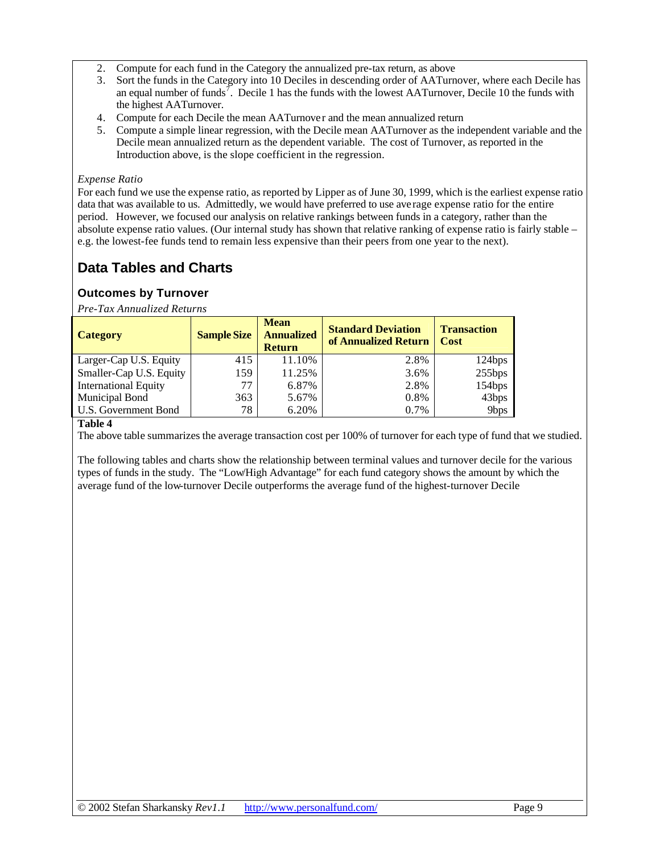- 2. Compute for each fund in the Category the annualized pre-tax return, as above
- 3. Sort the funds in the Category into 10 Deciles in descending order of AATurnover, where each Decile has an equal number of funds<sup>7</sup>. Decile 1 has the funds with the lowest AATurnover, Decile 10 the funds with the highest AATurnover.
- 4. Compute for each Decile the mean AATurnover and the mean annualized return
- 5. Compute a simple linear regression, with the Decile mean AATurnover as the independent variable and the Decile mean annualized return as the dependent variable. The cost of Turnover, as reported in the Introduction above, is the slope coefficient in the regression.

#### *Expense Ratio*

For each fund we use the expense ratio, as reported by Lipper as of June 30, 1999, which is the earliest expense ratio data that was available to us. Admittedly, we would have preferred to use average expense ratio for the entire period. However, we focused our analysis on relative rankings between funds in a category, rather than the absolute expense ratio values. (Our internal study has shown that relative ranking of expense ratio is fairly stable – e.g. the lowest-fee funds tend to remain less expensive than their peers from one year to the next).

## **Data Tables and Charts**

## **Outcomes by Turnover**

*Pre-Tax Annualized Returns*

| <b>Category</b>             | <b>Sample Size</b> | <b>Mean</b><br><b>Annualized</b><br><b>Return</b> | <b>Standard Deviation</b><br>of Annualized Return | <b>Transaction</b><br><b>Cost</b> |
|-----------------------------|--------------------|---------------------------------------------------|---------------------------------------------------|-----------------------------------|
| Larger-Cap U.S. Equity      | 415                | 11.10%                                            | 2.8%                                              | 124bps                            |
| Smaller-Cap U.S. Equity     | 159                | 11.25%                                            | 3.6%                                              | 255bps                            |
| <b>International Equity</b> | 77                 | 6.87%                                             | 2.8%                                              | 154bps                            |
| Municipal Bond              | 363                | 5.67%                                             | 0.8%                                              | 43bps                             |
| U.S. Government Bond        | 78                 | 6.20%                                             | 0.7%                                              | 9bps                              |

#### **Table 4**

The above table summarizes the average transaction cost per 100% of turnover for each type of fund that we studied.

The following tables and charts show the relationship between terminal values and turnover decile for the various types of funds in the study. The "Low/High Advantage" for each fund category shows the amount by which the average fund of the low-turnover Decile outperforms the average fund of the highest-turnover Decile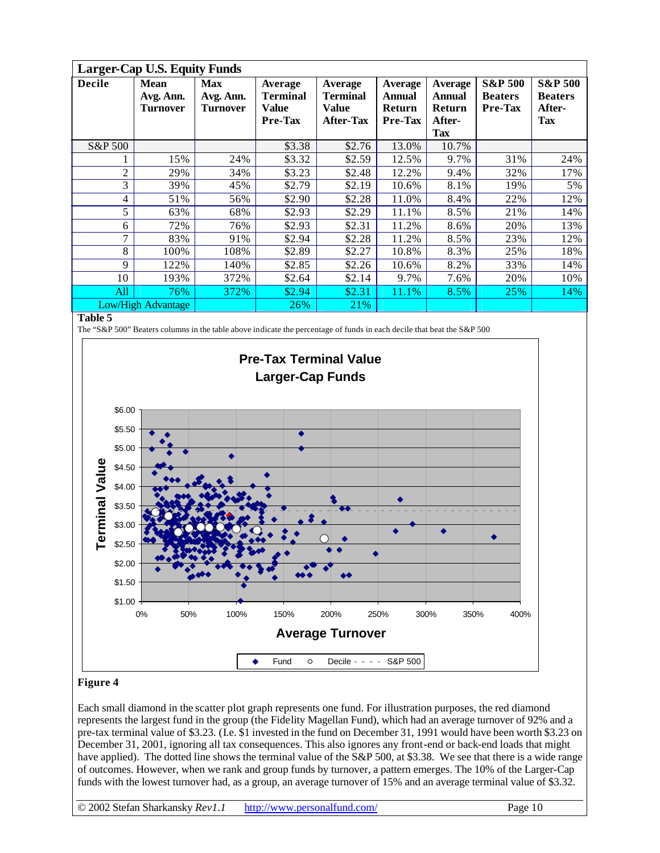|                | <b>Larger-Cap U.S. Equity Funds</b>         |                                     |                                                       |                                                         |                                                                    |                                              |                                                        |                                                              |  |  |  |
|----------------|---------------------------------------------|-------------------------------------|-------------------------------------------------------|---------------------------------------------------------|--------------------------------------------------------------------|----------------------------------------------|--------------------------------------------------------|--------------------------------------------------------------|--|--|--|
| <b>Decile</b>  | <b>Mean</b><br>Avg. Ann.<br><b>Turnover</b> | <b>Max</b><br>Avg. Ann.<br>Turnover | <b>Average</b><br><b>Terminal</b><br>Value<br>Pre-Tax | Average<br><b>Terminal</b><br>Value<br><b>After-Tax</b> | <b>Average</b><br><b>Annual</b><br><b>Return</b><br><b>Pre-Tax</b> | <b>Average</b><br>Annual<br>Return<br>After- | <b>S&amp;P 500</b><br><b>Beaters</b><br><b>Pre-Tax</b> | <b>S&amp;P 500</b><br><b>Beaters</b><br>After-<br><b>Tax</b> |  |  |  |
|                |                                             |                                     |                                                       |                                                         |                                                                    | Tax                                          |                                                        |                                                              |  |  |  |
| S&P 500        |                                             |                                     | \$3.38                                                | \$2.76                                                  | 13.0%                                                              | 10.7%                                        |                                                        |                                                              |  |  |  |
|                | 15%                                         | 24%                                 | \$3.32                                                | \$2.59                                                  | 12.5%                                                              | 9.7%                                         | 31%                                                    | 24%                                                          |  |  |  |
| $\overline{2}$ | 29%                                         | 34%                                 | \$3.23                                                | \$2.48                                                  | 12.2%                                                              | 9.4%                                         | 32%                                                    | 17%                                                          |  |  |  |
| 3              | 39%                                         | 45%                                 | \$2.79                                                | \$2.19                                                  | 10.6%                                                              | 8.1%                                         | 19%                                                    | 5%                                                           |  |  |  |
| $\overline{4}$ | 51%                                         | 56%                                 | \$2.90                                                | \$2.28                                                  | 11.0%                                                              | 8.4%                                         | 22%                                                    | 12%                                                          |  |  |  |
| 5              | 63%                                         | 68%                                 | \$2.93                                                | \$2.29                                                  | 11.1%                                                              | 8.5%                                         | 21%                                                    | 14%                                                          |  |  |  |
| 6              | 72%                                         | 76%                                 | \$2.93                                                | \$2.31                                                  | 11.2%                                                              | 8.6%                                         | 20%                                                    | 13%                                                          |  |  |  |
| 7              | 83%                                         | 91%                                 | \$2.94                                                | \$2.28                                                  | 11.2%                                                              | 8.5%                                         | 23%                                                    | 12%                                                          |  |  |  |
| 8              | 100%                                        | 108%                                | \$2.89                                                | \$2.27                                                  | 10.8%                                                              | 8.3%                                         | 25%                                                    | 18%                                                          |  |  |  |
| 9              | 122%                                        | 140%                                | \$2.85                                                | \$2.26                                                  | 10.6%                                                              | 8.2%                                         | 33%                                                    | 14%                                                          |  |  |  |
| 10             | 193%                                        | 372%                                | \$2.64                                                | \$2.14                                                  | 9.7%                                                               | 7.6%                                         | 20%                                                    | 10%                                                          |  |  |  |
| All            | 76%                                         | 372%                                | \$2.94                                                | \$2.31                                                  | 11.1%                                                              | 8.5%                                         | 25%                                                    | 14%                                                          |  |  |  |
|                | <b>Low/High Advantage</b>                   |                                     | 26%                                                   | 21%                                                     |                                                                    |                                              |                                                        |                                                              |  |  |  |

The "S&P 500" Beaters columns in the table above indicate the percentage of funds in each decile that beat the S&P 500



#### **Figure 4**

Each small diamond in the scatter plot graph represents one fund. For illustration purposes, the red diamond represents the largest fund in the group (the Fidelity Magellan Fund), which had an average turnover of 92% and a pre-tax terminal value of \$3.23. (I.e. \$1 invested in the fund on December 31, 1991 would have been worth \$3.23 on December 31, 2001, ignoring all tax consequences. This also ignores any front-end or back-end loads that might have applied). The dotted line shows the terminal value of the S&P 500, at \$3.38. We see that there is a wide range of outcomes. However, when we rank and group funds by turnover, a pattern emerges. The 10% of the Larger-Cap funds with the lowest turnover had, as a group, an average turnover of 15% and an average terminal value of \$3.32.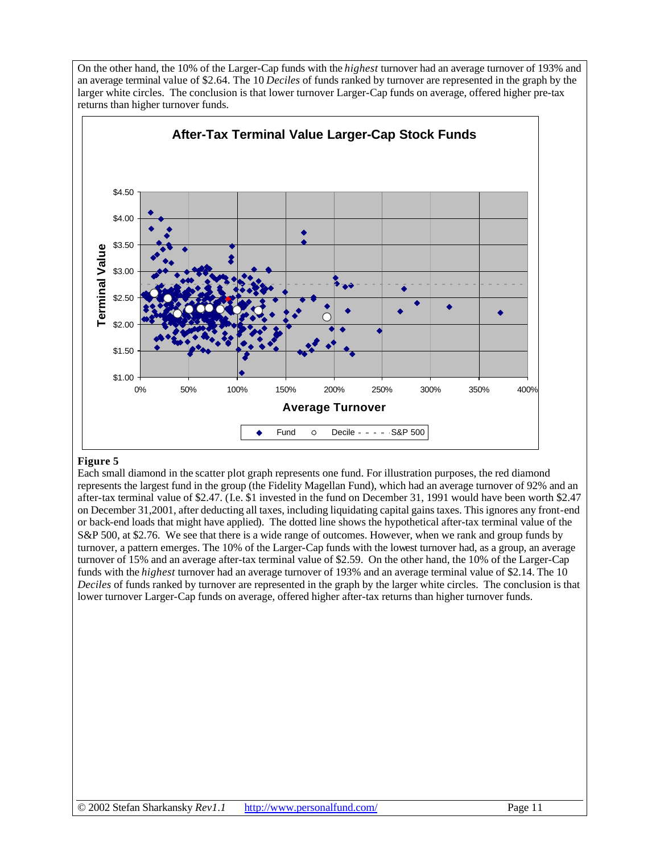On the other hand, the 10% of the Larger-Cap funds with the *highest* turnover had an average turnover of 193% and an average terminal value of \$2.64. The 10 *Deciles* of funds ranked by turnover are represented in the graph by the larger white circles. The conclusion is that lower turnover Larger-Cap funds on average, offered higher pre-tax returns than higher turnover funds.



#### **Figure 5**

Each small diamond in the scatter plot graph represents one fund. For illustration purposes, the red diamond represents the largest fund in the group (the Fidelity Magellan Fund), which had an average turnover of 92% and an after-tax terminal value of \$2.47. (I.e. \$1 invested in the fund on December 31, 1991 would have been worth \$2.47 on December 31,2001, after deducting all taxes, including liquidating capital gains taxes. This ignores any front-end or back-end loads that might have applied). The dotted line shows the hypothetical after-tax terminal value of the S&P 500, at \$2.76. We see that there is a wide range of outcomes. However, when we rank and group funds by turnover, a pattern emerges. The 10% of the Larger-Cap funds with the lowest turnover had, as a group, an average turnover of 15% and an average after-tax terminal value of \$2.59. On the other hand, the 10% of the Larger-Cap funds with the *highest* turnover had an average turnover of 193% and an average terminal value of \$2.14. The 10 *Deciles* of funds ranked by turnover are represented in the graph by the larger white circles. The conclusion is that lower turnover Larger-Cap funds on average, offered higher after-tax returns than higher turnover funds.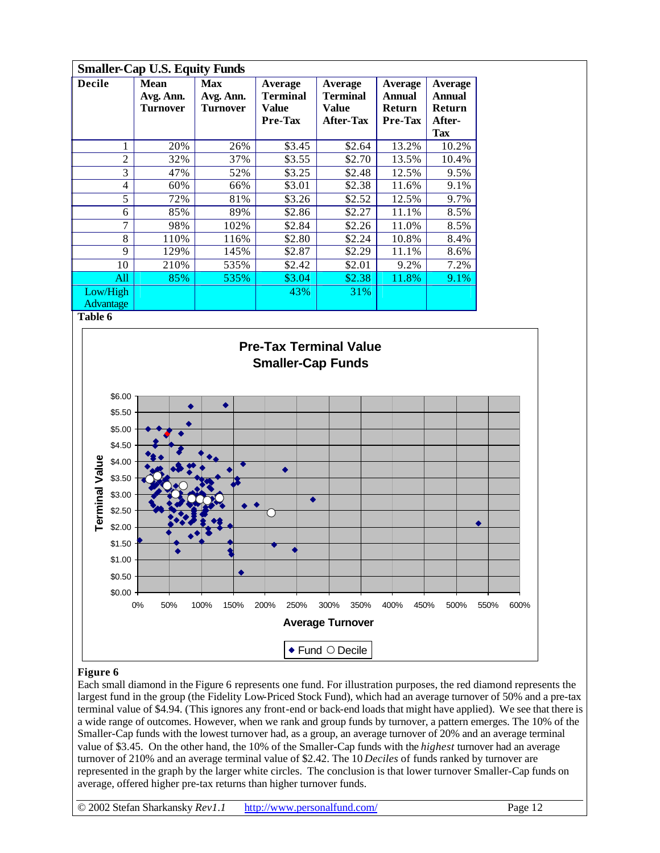|                              | <b>Smaller-Cap U.S. Equity Funds</b>        |                                            |                                                |                                                         |                                                      |                                                                   |  |  |  |  |  |  |
|------------------------------|---------------------------------------------|--------------------------------------------|------------------------------------------------|---------------------------------------------------------|------------------------------------------------------|-------------------------------------------------------------------|--|--|--|--|--|--|
| <b>Decile</b>                | <b>Mean</b><br>Avg. Ann.<br><b>Turnover</b> | <b>Max</b><br>Avg. Ann.<br><b>Turnover</b> | Average<br><b>Terminal</b><br>Value<br>Pre-Tax | Average<br><b>Terminal</b><br>Value<br><b>After-Tax</b> | Average<br><b>Annual</b><br><b>Return</b><br>Pre-Tax | <b>Average</b><br><b>Annual</b><br>Return<br>After-<br><b>Tax</b> |  |  |  |  |  |  |
|                              | 20%                                         | 26%                                        | \$3.45                                         | \$2.64                                                  | 13.2%                                                | 10.2%                                                             |  |  |  |  |  |  |
| $\overline{2}$               | 32%                                         | 37%                                        | \$3.55                                         | \$2.70                                                  | 13.5%                                                | 10.4%                                                             |  |  |  |  |  |  |
| 3                            | 47%                                         | 52%                                        | \$3.25                                         | \$2.48                                                  | 12.5%                                                | 9.5%                                                              |  |  |  |  |  |  |
| 4                            | 60%                                         | 66%                                        | \$3.01                                         | \$2.38                                                  | 11.6%                                                | 9.1%                                                              |  |  |  |  |  |  |
| 5                            | 72%                                         | 81%                                        | \$3.26                                         | \$2.52                                                  | 12.5%                                                | 9.7%                                                              |  |  |  |  |  |  |
| 6                            | 85%                                         | 89%                                        | \$2.86                                         | \$2.27                                                  | 11.1%                                                | 8.5%                                                              |  |  |  |  |  |  |
| 7                            | 98%                                         | 102%                                       | \$2.84                                         | \$2.26                                                  | 11.0%                                                | 8.5%                                                              |  |  |  |  |  |  |
| 8                            | 110%                                        | 116%                                       | \$2.80                                         | \$2.24                                                  | 10.8%                                                | 8.4%                                                              |  |  |  |  |  |  |
| 9                            | 129%                                        | 145%                                       | \$2.87                                         | \$2.29                                                  | 11.1%                                                | 8.6%                                                              |  |  |  |  |  |  |
| 10                           | 210%                                        | 535%                                       | \$2.42                                         | \$2.01                                                  | 9.2%                                                 | 7.2%                                                              |  |  |  |  |  |  |
| All                          | 85%                                         | 535%                                       | \$3.04                                         | \$2.38                                                  | 11.8%                                                | 9.1%                                                              |  |  |  |  |  |  |
| Low/High<br><b>Advantage</b> |                                             |                                            | 43%                                            | 31%                                                     |                                                      |                                                                   |  |  |  |  |  |  |



#### **Figure 6**

Each small diamond in the Figure 6 represents one fund. For illustration purposes, the red diamond represents the largest fund in the group (the Fidelity Low-Priced Stock Fund), which had an average turnover of 50% and a pre-tax terminal value of \$4.94. (This ignores any front-end or back-end loads that might have applied). We see that there is a wide range of outcomes. However, when we rank and group funds by turnover, a pattern emerges. The 10% of the Smaller-Cap funds with the lowest turnover had, as a group, an average turnover of 20% and an average terminal value of \$3.45. On the other hand, the 10% of the Smaller-Cap funds with the *highest* turnover had an average turnover of 210% and an average terminal value of \$2.42. The 10 *Deciles* of funds ranked by turnover are represented in the graph by the larger white circles. The conclusion is that lower turnover Smaller-Cap funds on average, offered higher pre-tax returns than higher turnover funds.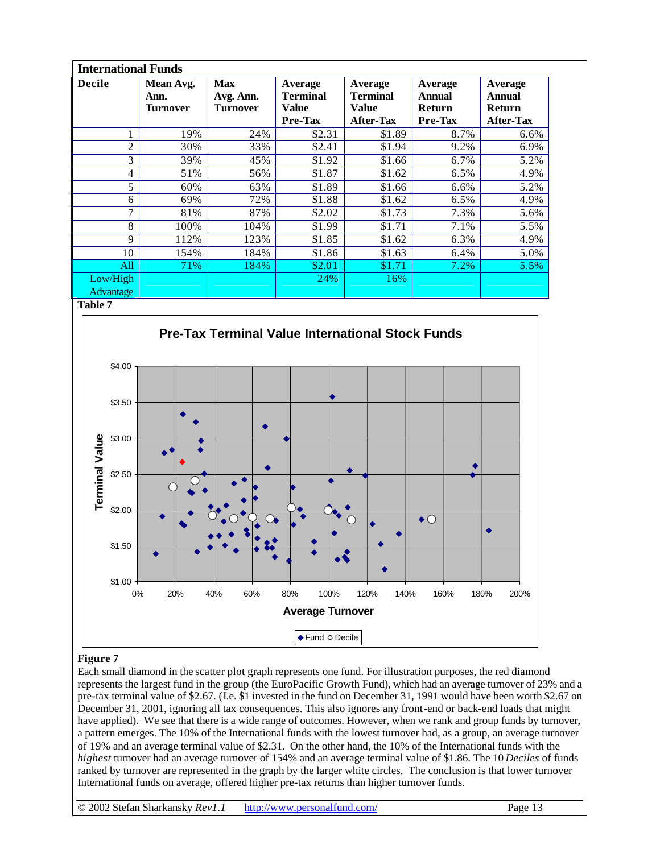| <b>International Funds</b> |                               |                                            |                                                |                                                         |                                               |                                                               |  |  |  |  |
|----------------------------|-------------------------------|--------------------------------------------|------------------------------------------------|---------------------------------------------------------|-----------------------------------------------|---------------------------------------------------------------|--|--|--|--|
| <b>Decile</b>              | Mean Avg.<br>Ann.<br>Turnover | <b>Max</b><br>Avg. Ann.<br><b>Turnover</b> | Average<br><b>Terminal</b><br>Value<br>Pre-Tax | Average<br><b>Terminal</b><br>Value<br><b>After-Tax</b> | Average<br>Annual<br><b>Return</b><br>Pre-Tax | Average<br><b>Annual</b><br><b>Return</b><br><b>After-Tax</b> |  |  |  |  |
|                            | 19%                           | 24%                                        | \$2.31                                         | \$1.89                                                  | 8.7%                                          | 6.6%                                                          |  |  |  |  |
| $\overline{2}$             | 30%                           | 33%                                        | \$2.41                                         | \$1.94                                                  | 9.2%                                          | 6.9%                                                          |  |  |  |  |
| 3                          | 39%                           | 45%                                        | \$1.92                                         | \$1.66                                                  | 6.7%                                          | 5.2%                                                          |  |  |  |  |
| 4                          | 51%                           | 56%                                        | \$1.87                                         | \$1.62                                                  | 6.5%                                          | 4.9%                                                          |  |  |  |  |
| 5                          | 60%                           | 63%                                        | \$1.89                                         | \$1.66                                                  | 6.6%                                          | 5.2%                                                          |  |  |  |  |
| 6                          | 69%                           | 72%                                        | \$1.88                                         | \$1.62                                                  | $6.5\%$                                       | 4.9%                                                          |  |  |  |  |
| 7                          | 81%                           | 87%                                        | \$2.02                                         | \$1.73                                                  | 7.3%                                          | 5.6%                                                          |  |  |  |  |
| 8                          | 100%                          | 104%                                       | \$1.99                                         | \$1.71                                                  | 7.1%                                          | 5.5%                                                          |  |  |  |  |
| 9                          | 112%                          | 123%                                       | \$1.85                                         | \$1.62                                                  | 6.3%                                          | 4.9%                                                          |  |  |  |  |
| 10                         | 154%                          | 184%                                       | \$1.86                                         | \$1.63                                                  | 6.4%                                          | 5.0%                                                          |  |  |  |  |
| All                        | 71%                           | 184%                                       | \$2.01                                         | \$1.71                                                  | $7.2\%$                                       | 5.5%                                                          |  |  |  |  |
| Low/High                   |                               |                                            | 24%                                            | 16%                                                     |                                               |                                                               |  |  |  |  |
| Advantage                  |                               |                                            |                                                |                                                         |                                               |                                                               |  |  |  |  |



### **Figure 7**

Each small diamond in the scatter plot graph represents one fund. For illustration purposes, the red diamond represents the largest fund in the group (the EuroPacific Growth Fund), which had an average turnover of 23% and a pre-tax terminal value of \$2.67. (I.e. \$1 invested in the fund on December 31, 1991 would have been worth \$2.67 on December 31, 2001, ignoring all tax consequences. This also ignores any front-end or back-end loads that might have applied). We see that there is a wide range of outcomes. However, when we rank and group funds by turnover, a pattern emerges. The 10% of the International funds with the lowest turnover had, as a group, an average turnover of 19% and an average terminal value of \$2.31. On the other hand, the 10% of the International funds with the *highest* turnover had an average turnover of 154% and an average terminal value of \$1.86. The 10 *Deciles* of funds ranked by turnover are represented in the graph by the larger white circles. The conclusion is that lower turnover International funds on average, offered higher pre-tax returns than higher turnover funds.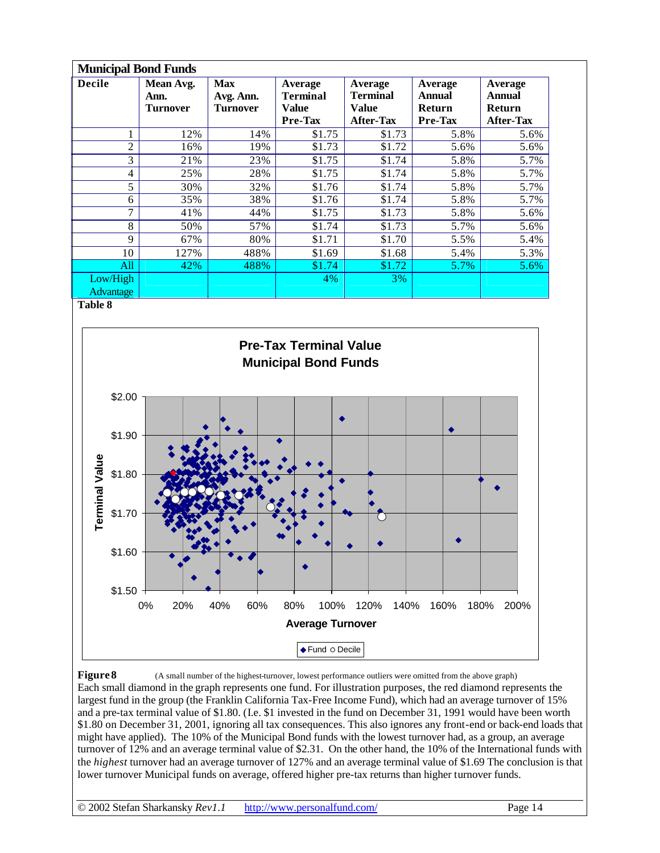| <b>Municipal Bond Funds</b> |                                      |                                            |                                         |                                                         |                                                             |                                                 |  |  |  |  |  |
|-----------------------------|--------------------------------------|--------------------------------------------|-----------------------------------------|---------------------------------------------------------|-------------------------------------------------------------|-------------------------------------------------|--|--|--|--|--|
| <b>Decile</b>               | Mean Avg.<br>Ann.<br><b>Turnover</b> | <b>Max</b><br>Avg. Ann.<br><b>Turnover</b> | Average<br>Terminal<br>Value<br>Pre-Tax | Average<br><b>Terminal</b><br>Value<br><b>After-Tax</b> | Average<br><b>Annual</b><br><b>Return</b><br><b>Pre-Tax</b> | Average<br>Annual<br>Return<br><b>After-Tax</b> |  |  |  |  |  |
|                             | 12%                                  | 14%                                        | \$1.75                                  | \$1.73                                                  | 5.8%                                                        | 5.6%                                            |  |  |  |  |  |
| $\overline{c}$              | 16%                                  | 19%                                        | \$1.73                                  | \$1.72                                                  | 5.6%                                                        | 5.6%                                            |  |  |  |  |  |
| 3                           | 21%                                  | 23%                                        | \$1.75                                  | \$1.74                                                  | 5.8%                                                        | 5.7%                                            |  |  |  |  |  |
| 4                           | 25%                                  | 28%                                        | \$1.75                                  | \$1.74                                                  | 5.8%                                                        | 5.7%                                            |  |  |  |  |  |
| 5                           | 30%                                  | 32%                                        | \$1.76                                  | \$1.74                                                  | 5.8%                                                        | 5.7%                                            |  |  |  |  |  |
| 6                           | 35%                                  | 38%                                        | \$1.76                                  | \$1.74                                                  | 5.8%                                                        | 5.7%                                            |  |  |  |  |  |
| 7                           | 41%                                  | 44%                                        | \$1.75                                  | \$1.73                                                  | 5.8%                                                        | 5.6%                                            |  |  |  |  |  |
| 8                           | 50%                                  | 57%                                        | \$1.74                                  | \$1.73                                                  | 5.7%                                                        | 5.6%                                            |  |  |  |  |  |
| 9                           | 67%                                  | 80%                                        | \$1.71                                  | \$1.70                                                  | 5.5%                                                        | 5.4%                                            |  |  |  |  |  |
| 10                          | 127%                                 | 488%                                       | \$1.69                                  | \$1.68                                                  | 5.4%                                                        | 5.3%                                            |  |  |  |  |  |
| All                         | 42%                                  | 488%                                       | \$1.74                                  | \$1.72                                                  | 5.7%                                                        | 5.6%                                            |  |  |  |  |  |
| Low/High                    |                                      |                                            | 4%                                      | 3%                                                      |                                                             |                                                 |  |  |  |  |  |
| <b>Advantage</b>            |                                      |                                            |                                         |                                                         |                                                             |                                                 |  |  |  |  |  |



**Figure 8** (A small number of the highest-turnover, lowest performance outliers were omitted from the above graph) Each small diamond in the graph represents one fund. For illustration purposes, the red diamond represents the largest fund in the group (the Franklin California Tax-Free Income Fund), which had an average turnover of 15% and a pre-tax terminal value of \$1.80. (I.e. \$1 invested in the fund on December 31, 1991 would have been worth \$1.80 on December 31, 2001, ignoring all tax consequences. This also ignores any front-end or back-end loads that might have applied). The 10% of the Municipal Bond funds with the lowest turnover had, as a group, an average turnover of 12% and an average terminal value of \$2.31. On the other hand, the 10% of the International funds with the *highest* turnover had an average turnover of 127% and an average terminal value of \$1.69 The conclusion is that lower turnover Municipal funds on average, offered higher pre-tax returns than higher turnover funds.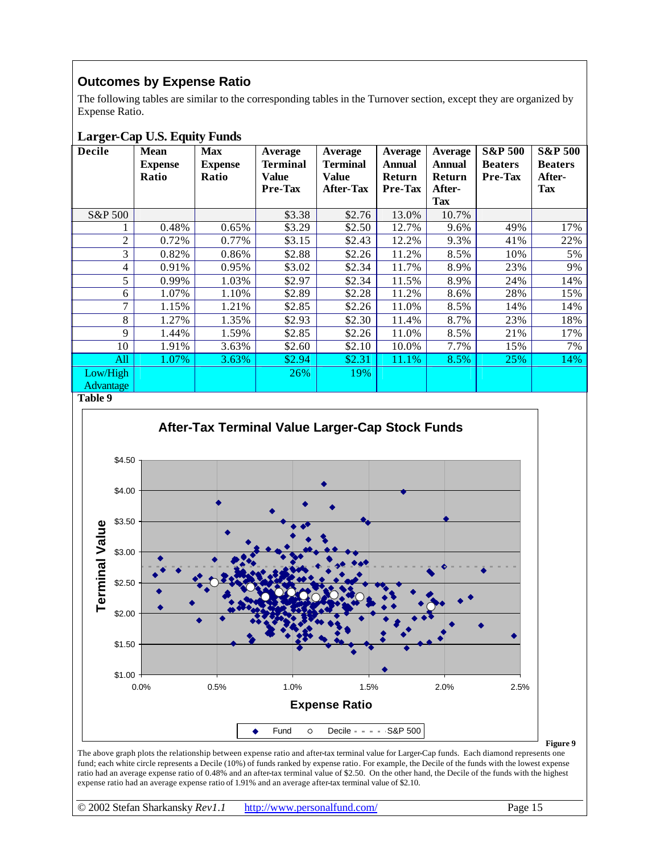## **Outcomes by Expense Ratio**

The following tables are similar to the corresponding tables in the Turnover section, except they are organized by Expense Ratio.

## **Larger-Cap U.S. Equity Funds**

| <b>Decile</b>    | <b>Mean</b><br><b>Expense</b><br>Ratio | <b>Max</b><br><b>Expense</b><br>Ratio | Average<br><b>Terminal</b><br>Value<br><b>Pre-Tax</b> | Average<br><b>Terminal</b><br><b>Value</b><br><b>After-Tax</b> | Average<br><b>Annual</b><br>Return<br><b>Pre-Tax</b> | <b>Average</b><br><b>Annual</b><br>Return<br>After-<br>Tax | <b>S&amp;P 500</b><br><b>Beaters</b><br><b>Pre-Tax</b> | <b>S&amp;P 500</b><br><b>Beaters</b><br>After-<br><b>Tax</b> |
|------------------|----------------------------------------|---------------------------------------|-------------------------------------------------------|----------------------------------------------------------------|------------------------------------------------------|------------------------------------------------------------|--------------------------------------------------------|--------------------------------------------------------------|
| S&P 500          |                                        |                                       | \$3.38                                                | \$2.76                                                         | 13.0%                                                | 10.7%                                                      |                                                        |                                                              |
|                  | 0.48%                                  | 0.65%                                 | \$3.29                                                | \$2.50                                                         | 12.7%                                                | 9.6%                                                       | 49%                                                    | 17%                                                          |
| $\overline{c}$   | 0.72%                                  | 0.77%                                 | \$3.15                                                | \$2.43                                                         | 12.2%                                                | 9.3%                                                       | 41%                                                    | 22%                                                          |
| 3                | 0.82%                                  | 0.86%                                 | \$2.88                                                | \$2.26                                                         | 11.2%                                                | 8.5%                                                       | 10%                                                    | 5%                                                           |
| 4                | 0.91%                                  | 0.95%                                 | \$3.02                                                | \$2.34                                                         | 11.7%                                                | 8.9%                                                       | 23%                                                    | 9%                                                           |
| 5                | 0.99%                                  | 1.03%                                 | \$2.97                                                | \$2.34                                                         | 11.5%                                                | 8.9%                                                       | 24%                                                    | 14%                                                          |
| 6                | 1.07%                                  | 1.10%                                 | \$2.89                                                | \$2.28                                                         | 11.2%                                                | 8.6%                                                       | 28%                                                    | 15%                                                          |
| 7                | 1.15%                                  | 1.21%                                 | \$2.85                                                | \$2.26                                                         | 11.0%                                                | 8.5%                                                       | 14%                                                    | 14%                                                          |
| 8                | 1.27%                                  | 1.35%                                 | \$2.93                                                | \$2.30                                                         | 11.4%                                                | 8.7%                                                       | 23%                                                    | 18%                                                          |
| 9                | 1.44%                                  | 1.59%                                 | \$2.85                                                | \$2.26                                                         | 11.0%                                                | 8.5%                                                       | 21%                                                    | 17%                                                          |
| 10               | 1.91%                                  | 3.63%                                 | \$2.60                                                | \$2.10                                                         | 10.0%                                                | 7.7%                                                       | 15%                                                    | 7%                                                           |
| All              | 1.07%                                  | 3.63%                                 | \$2.94                                                | \$2.31                                                         | 11.1%                                                | 8.5%                                                       | 25%                                                    | 14%                                                          |
| Low/High         |                                        |                                       | 26%                                                   | 19%                                                            |                                                      |                                                            |                                                        |                                                              |
| <b>Advantage</b> |                                        |                                       |                                                       |                                                                |                                                      |                                                            |                                                        |                                                              |

**Table 9**

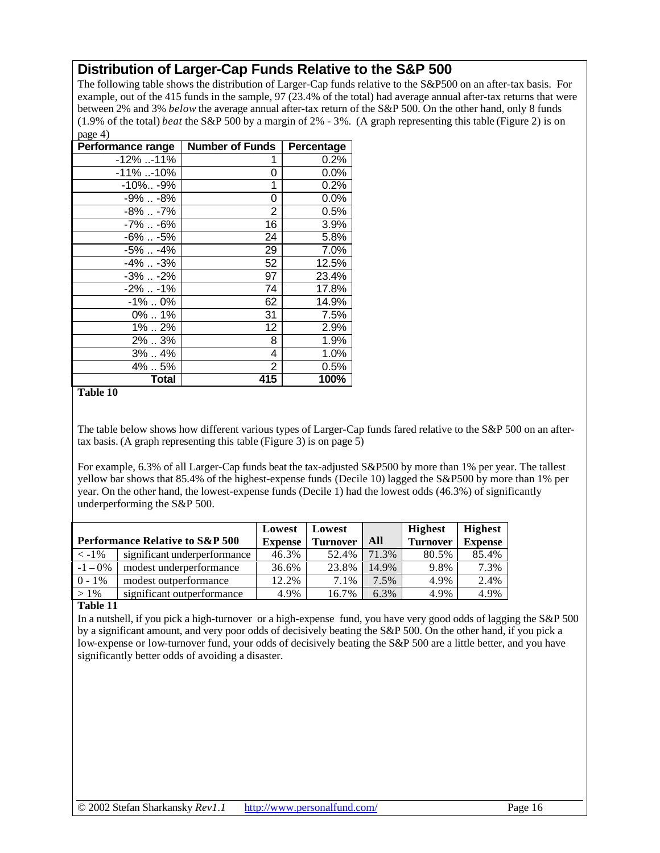## **Distribution of Larger-Cap Funds Relative to the S&P 500**

The following table shows the distribution of Larger-Cap funds relative to the S&P500 on an after-tax basis. For example, out of the 415 funds in the sample, 97 (23.4% of the total) had average annual after-tax returns that were between 2% and 3% *below* the average annual after-tax return of the S&P 500. On the other hand, only 8 funds (1.9% of the total) *beat* the S&P 500 by a margin of 2% - 3%. (A graph representing this table (Figure 2) is on page 4)

| r - 0 - 11<br>Performance range | <b>Number of Funds</b> | Percentage |
|---------------------------------|------------------------|------------|
| $-12\%$ -11%                    | 1                      | $0.2\%$    |
| $-11\%$ -10%                    | 0                      | $0.0\%$    |
| -10% -9%                        | 1                      | $0.2\%$    |
| -9%  -8%                        | 0                      | $0.0\%$    |
| -8%  -7%                        | $\overline{2}$         | $0.5\%$    |
| $-7\%$ $-6\%$                   | 16                     | 3.9%       |
| -6%  -5%                        | 24                     | 5.8%       |
| -5%  -4%                        | 29                     | 7.0%       |
| $-4\%$ $-3\%$                   | 52                     | 12.5%      |
| $-3\%$ $-2\%$                   | 97                     | 23.4%      |
| -2%  -1%                        | 74                     | 17.8%      |
| -1% 0%                          | 62                     | 14.9%      |
| $0\%$ 1%                        | 31                     | 7.5%       |
| 1%  2%                          | 12                     | 2.9%       |
| 2%3%                            | 8                      | 1.9%       |
| 3%  4%                          | 4                      | 1.0%       |
| 4%5%                            | 2                      | 0.5%       |
| <b>Total</b>                    | 415                    | 100%       |

#### **Table 10**

The table below shows how different various types of Larger-Cap funds fared relative to the S&P 500 on an aftertax basis. (A graph representing this table (Figure 3) is on page 5)

For example, 6.3% of all Larger-Cap funds beat the tax-adjusted S&P500 by more than 1% per year. The tallest yellow bar shows that 85.4% of the highest-expense funds (Decile 10) lagged the S&P500 by more than 1% per year. On the other hand, the lowest-expense funds (Decile 1) had the lowest odds (46.3%) of significantly underperforming the S&P 500.

|                                            |                              | Lowest         | Lowest          |       | <b>Highest</b>  | <b>Highest</b> |
|--------------------------------------------|------------------------------|----------------|-----------------|-------|-----------------|----------------|
| <b>Performance Relative to S&amp;P 500</b> |                              | <b>Expense</b> | <b>Turnover</b> | All   | <b>Turnover</b> | <b>Expense</b> |
| $< -1\%$                                   | significant underperformance | 46.3%          | 52.4%           | 71.3% | 80.5%           | 85.4%          |
| $-1 - 0\%$                                 | modest underperformance      | 36.6%          | 23.8%           | 14.9% | 9.8%            | 7.3%           |
| $0 - 1\%$                                  | modest outperformance        | 12.2%          | 7.1%            | 7.5%  | 4.9%            | 2.4%           |
| $>1\%$                                     | significant outperformance   | 4.9%           | 16.7%           | 6.3%  | 4.9%            | 4.9%           |

#### **Table 11**

In a nutshell, if you pick a high-turnover or a high-expense fund, you have very good odds of lagging the S&P 500 by a significant amount, and very poor odds of decisively beating the S&P 500. On the other hand, if you pick a low-expense or low-turnover fund, your odds of decisively beating the S&P 500 are a little better, and you have significantly better odds of avoiding a disaster.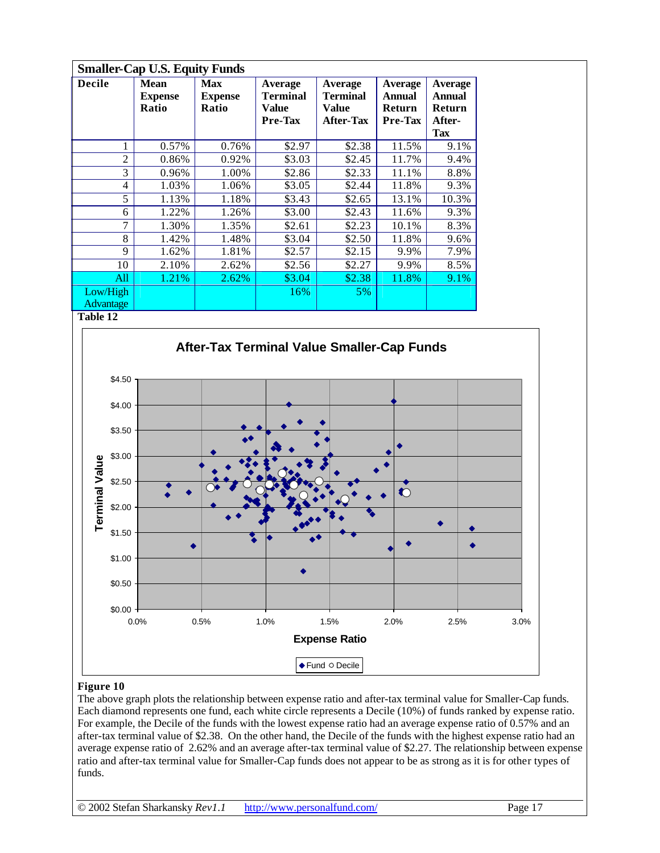| <b>Smaller-Cap U.S. Equity Funds</b> |                                        |                                       |                                                |                                                  |                                                      |                                                     |  |  |
|--------------------------------------|----------------------------------------|---------------------------------------|------------------------------------------------|--------------------------------------------------|------------------------------------------------------|-----------------------------------------------------|--|--|
| <b>Decile</b>                        | <b>Mean</b><br><b>Expense</b><br>Ratio | <b>Max</b><br><b>Expense</b><br>Ratio | Average<br><b>Terminal</b><br>Value<br>Pre-Tax | Average<br><b>Terminal</b><br>Value<br>After-Tax | <b>Average</b><br>Annual<br><b>Return</b><br>Pre-Tax | Average<br><b>Annual</b><br><b>Return</b><br>After- |  |  |
|                                      |                                        |                                       |                                                |                                                  |                                                      | <b>Tax</b>                                          |  |  |
| 1                                    | 0.57%                                  | 0.76%                                 | \$2.97                                         | \$2.38                                           | 11.5%                                                | 9.1%                                                |  |  |
| $\overline{2}$                       | 0.86%                                  | 0.92%                                 | \$3.03                                         | \$2.45                                           | 11.7%                                                | 9.4%                                                |  |  |
| 3                                    | 0.96%                                  | 1.00%                                 | \$2.86                                         | \$2.33                                           | 11.1%                                                | 8.8%                                                |  |  |
| 4                                    | 1.03%                                  | 1.06%                                 | \$3.05                                         | \$2.44                                           | 11.8%                                                | 9.3%                                                |  |  |
| 5                                    | 1.13%                                  | 1.18%                                 | \$3.43                                         | \$2.65                                           | 13.1%                                                | 10.3%                                               |  |  |
| 6                                    | 1.22%                                  | 1.26%                                 | \$3.00                                         | \$2.43                                           | 11.6%                                                | 9.3%                                                |  |  |
| 7                                    | 1.30%                                  | 1.35%                                 | \$2.61                                         | \$2.23                                           | 10.1%                                                | 8.3%                                                |  |  |
| 8                                    | 1.42%                                  | 1.48%                                 | \$3.04                                         | \$2.50                                           | 11.8%                                                | 9.6%                                                |  |  |
| 9                                    | 1.62%                                  | 1.81%                                 | \$2.57                                         | \$2.15                                           | 9.9%                                                 | 7.9%                                                |  |  |
| 10                                   | 2.10%                                  | 2.62%                                 | \$2.56                                         | \$2.27                                           | 9.9%                                                 | 8.5%                                                |  |  |
| All                                  | 1.21%                                  | 2.62%                                 | \$3.04                                         | \$2.38                                           | 11.8%                                                | 9.1%                                                |  |  |
| Low/High                             |                                        |                                       | 16%                                            | 5%                                               |                                                      |                                                     |  |  |
| <b>Advantage</b>                     |                                        |                                       |                                                |                                                  |                                                      |                                                     |  |  |



#### **Figure 10**

The above graph plots the relationship between expense ratio and after-tax terminal value for Smaller-Cap funds. Each diamond represents one fund, each white circle represents a Decile (10%) of funds ranked by expense ratio. For example, the Decile of the funds with the lowest expense ratio had an average expense ratio of 0.57% and an after-tax terminal value of \$2.38. On the other hand, the Decile of the funds with the highest expense ratio had an average expense ratio of 2.62% and an average after-tax terminal value of \$2.27. The relationship between expense ratio and after-tax terminal value for Smaller-Cap funds does not appear to be as strong as it is for other types of funds.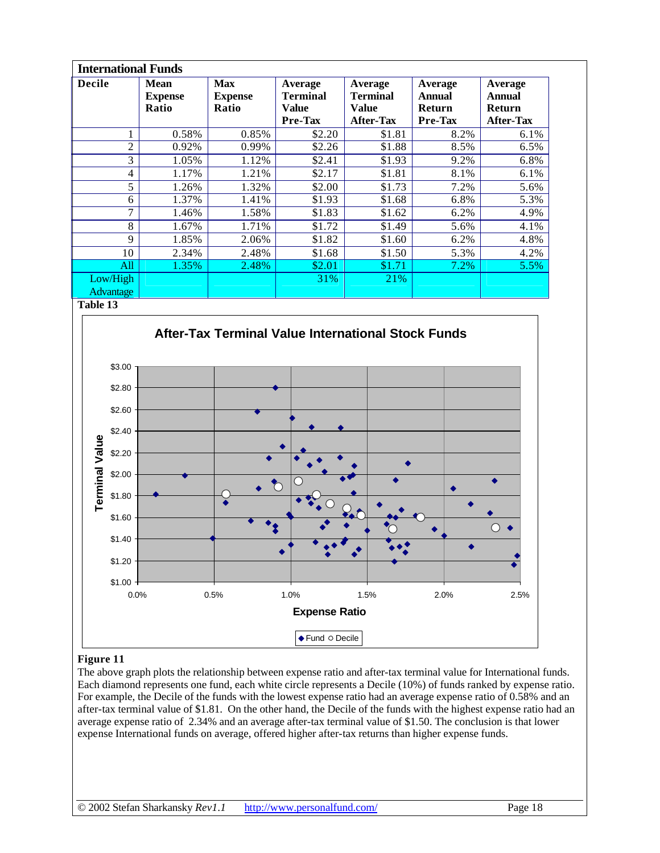| <b>International Funds</b> |                                        |                                       |                                         |                                                         |                                               |                                                        |  |
|----------------------------|----------------------------------------|---------------------------------------|-----------------------------------------|---------------------------------------------------------|-----------------------------------------------|--------------------------------------------------------|--|
| <b>Decile</b>              | <b>Mean</b><br><b>Expense</b><br>Ratio | <b>Max</b><br><b>Expense</b><br>Ratio | Average<br>Terminal<br>Value<br>Pre-Tax | Average<br><b>Terminal</b><br>Value<br><b>After-Tax</b> | Average<br><b>Annual</b><br>Return<br>Pre-Tax | Average<br><b>Annual</b><br><b>Return</b><br>After-Tax |  |
|                            | 0.58%                                  | 0.85%                                 | \$2.20                                  | \$1.81                                                  | 8.2%                                          | $6.1\%$                                                |  |
| $\overline{c}$             | 0.92%                                  | 0.99%                                 | \$2.26                                  | \$1.88                                                  | 8.5%                                          | 6.5%                                                   |  |
| 3                          | 1.05%                                  | 1.12%                                 | \$2.41                                  | \$1.93                                                  | 9.2%                                          | 6.8%                                                   |  |
| 4                          | 1.17%                                  | 1.21%                                 | \$2.17                                  | \$1.81                                                  | 8.1%                                          | 6.1%                                                   |  |
| 5                          | 1.26%                                  | 1.32%                                 | \$2.00                                  | \$1.73                                                  | 7.2%                                          | 5.6%                                                   |  |
| 6                          | 1.37%                                  | 1.41%                                 | \$1.93                                  | \$1.68                                                  | 6.8%                                          | 5.3%                                                   |  |
| 7                          | 1.46%                                  | 1.58%                                 | \$1.83                                  | \$1.62                                                  | 6.2%                                          | 4.9%                                                   |  |
| 8                          | 1.67%                                  | 1.71%                                 | \$1.72                                  | \$1.49                                                  | 5.6%                                          | 4.1%                                                   |  |
| 9                          | 1.85%                                  | 2.06%                                 | \$1.82                                  | \$1.60                                                  | 6.2%                                          | 4.8%                                                   |  |
| 10                         | 2.34%                                  | 2.48%                                 | \$1.68                                  | \$1.50                                                  | 5.3%                                          | 4.2%                                                   |  |
| All                        | 1.35%                                  | 2.48%                                 | \$2.01                                  | \$1.71                                                  | 7.2%                                          | 5.5%                                                   |  |
| Low/High                   |                                        |                                       | 31%                                     | 21%                                                     |                                               |                                                        |  |
| Advantage                  |                                        |                                       |                                         |                                                         |                                               |                                                        |  |



### **Figure 11**

The above graph plots the relationship between expense ratio and after-tax terminal value for International funds. Each diamond represents one fund, each white circle represents a Decile (10%) of funds ranked by expense ratio. For example, the Decile of the funds with the lowest expense ratio had an average expense ratio of 0.58% and an after-tax terminal value of \$1.81. On the other hand, the Decile of the funds with the highest expense ratio had an average expense ratio of 2.34% and an average after-tax terminal value of \$1.50. The conclusion is that lower expense International funds on average, offered higher after-tax returns than higher expense funds.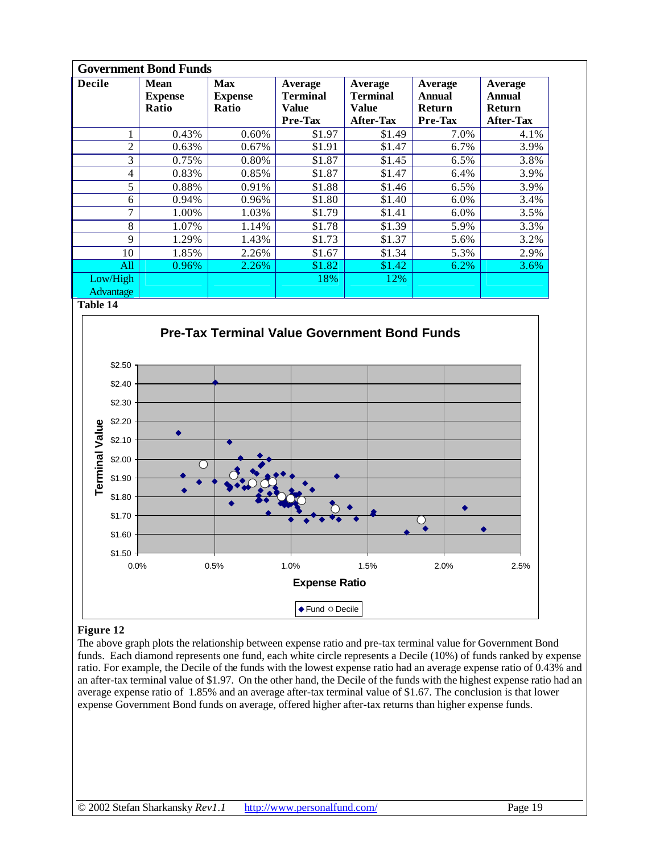| <b>Government Bond Funds</b> |                                        |                                       |                                         |                                                         |                                               |                                                        |  |
|------------------------------|----------------------------------------|---------------------------------------|-----------------------------------------|---------------------------------------------------------|-----------------------------------------------|--------------------------------------------------------|--|
| <b>Decile</b>                | <b>Mean</b><br><b>Expense</b><br>Ratio | <b>Max</b><br><b>Expense</b><br>Ratio | Average<br>Terminal<br>Value<br>Pre-Tax | Average<br><b>Terminal</b><br>Value<br><b>After-Tax</b> | Average<br><b>Annual</b><br>Return<br>Pre-Tax | Average<br><b>Annual</b><br><b>Return</b><br>After-Tax |  |
|                              | 0.43%                                  | 0.60%                                 | \$1.97                                  | \$1.49                                                  | 7.0%                                          | 4.1%                                                   |  |
| $\overline{2}$               | 0.63%                                  | 0.67%                                 | \$1.91                                  | \$1.47                                                  | 6.7%                                          | 3.9%                                                   |  |
| 3                            | 0.75%                                  | 0.80%                                 | \$1.87                                  | \$1.45                                                  | 6.5%                                          | 3.8%                                                   |  |
| 4                            | 0.83%                                  | 0.85%                                 | \$1.87                                  | \$1.47                                                  | 6.4%                                          | 3.9%                                                   |  |
| 5                            | 0.88%                                  | 0.91%                                 | \$1.88                                  | \$1.46                                                  | $6.5\%$                                       | 3.9%                                                   |  |
| 6                            | 0.94%                                  | 0.96%                                 | \$1.80                                  | \$1.40                                                  | 6.0%                                          | 3.4%                                                   |  |
| 7                            | 1.00%                                  | 1.03%                                 | \$1.79                                  | \$1.41                                                  | 6.0%                                          | 3.5%                                                   |  |
| 8                            | 1.07%                                  | 1.14%                                 | \$1.78                                  | \$1.39                                                  | 5.9%                                          | 3.3%                                                   |  |
| 9                            | 1.29%                                  | 1.43%                                 | \$1.73                                  | \$1.37                                                  | 5.6%                                          | 3.2%                                                   |  |
| 10                           | 1.85%                                  | 2.26%                                 | \$1.67                                  | \$1.34                                                  | 5.3%                                          | 2.9%                                                   |  |
| All                          | 0.96%                                  | 2.26%                                 | \$1.82                                  | \$1.42                                                  | 6.2%                                          | $3.6\%$                                                |  |
| Low/High                     |                                        |                                       | 18%                                     | 12%                                                     |                                               |                                                        |  |
| Advantage                    |                                        |                                       |                                         |                                                         |                                               |                                                        |  |



### **Figure 12**

The above graph plots the relationship between expense ratio and pre-tax terminal value for Government Bond funds. Each diamond represents one fund, each white circle represents a Decile (10%) of funds ranked by expense ratio. For example, the Decile of the funds with the lowest expense ratio had an average expense ratio of 0.43% and an after-tax terminal value of \$1.97. On the other hand, the Decile of the funds with the highest expense ratio had an average expense ratio of 1.85% and an average after-tax terminal value of \$1.67. The conclusion is that lower expense Government Bond funds on average, offered higher after-tax returns than higher expense funds.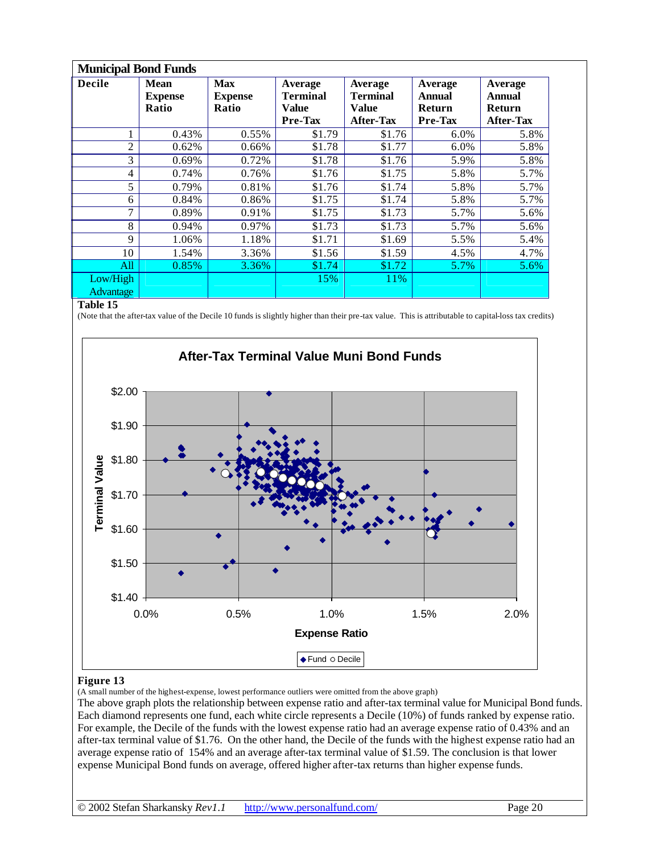| <b>Municipal Bond Funds</b> |                                        |                                       |                                                |                                                                |                                               |                                                 |  |  |
|-----------------------------|----------------------------------------|---------------------------------------|------------------------------------------------|----------------------------------------------------------------|-----------------------------------------------|-------------------------------------------------|--|--|
| <b>Decile</b>               | <b>Mean</b><br><b>Expense</b><br>Ratio | <b>Max</b><br><b>Expense</b><br>Ratio | Average<br><b>Terminal</b><br>Value<br>Pre-Tax | Average<br><b>Terminal</b><br><b>Value</b><br><b>After-Tax</b> | Average<br><b>Annual</b><br>Return<br>Pre-Tax | Average<br>Annual<br>Return<br><b>After-Tax</b> |  |  |
|                             | 0.43%                                  | 0.55%                                 | \$1.79                                         | \$1.76                                                         | 6.0%                                          | 5.8%                                            |  |  |
| $\overline{c}$              | 0.62%                                  | 0.66%                                 | \$1.78                                         | \$1.77                                                         | 6.0%                                          | 5.8%                                            |  |  |
| 3                           | 0.69%                                  | 0.72%                                 | \$1.78                                         | \$1.76                                                         | 5.9%                                          | 5.8%                                            |  |  |
| 4                           | 0.74%                                  | 0.76%                                 | \$1.76                                         | \$1.75                                                         | 5.8%                                          | 5.7%                                            |  |  |
| 5                           | 0.79%                                  | 0.81%                                 | \$1.76                                         | \$1.74                                                         | 5.8%                                          | 5.7%                                            |  |  |
| 6                           | 0.84%                                  | 0.86%                                 | \$1.75                                         | \$1.74                                                         | 5.8%                                          | 5.7%                                            |  |  |
| 7                           | 0.89%                                  | 0.91%                                 | \$1.75                                         | \$1.73                                                         | 5.7%                                          | 5.6%                                            |  |  |
| 8                           | 0.94%                                  | 0.97%                                 | \$1.73                                         | \$1.73                                                         | 5.7%                                          | 5.6%                                            |  |  |
| 9                           | 1.06%                                  | 1.18%                                 | \$1.71                                         | \$1.69                                                         | 5.5%                                          | 5.4%                                            |  |  |
| 10                          | 1.54%                                  | 3.36%                                 | \$1.56                                         | \$1.59                                                         | 4.5%                                          | 4.7%                                            |  |  |
| All                         | 0.85%                                  | 3.36%                                 | \$1.74                                         | \$1.72                                                         | 5.7%                                          | 5.6%                                            |  |  |
| Low/High                    |                                        |                                       | 15%                                            | 11%                                                            |                                               |                                                 |  |  |
| <b>Advantage</b>            |                                        |                                       |                                                |                                                                |                                               |                                                 |  |  |

(Note that the after-tax value of the Decile 10 funds is slightly higher than their pre-tax value. This is attributable to capital-loss tax credits)



#### **Figure 13**

(A small number of the highest-expense, lowest performance outliers were omitted from the above graph)

The above graph plots the relationship between expense ratio and after-tax terminal value for Municipal Bond funds. Each diamond represents one fund, each white circle represents a Decile (10%) of funds ranked by expense ratio. For example, the Decile of the funds with the lowest expense ratio had an average expense ratio of 0.43% and an after-tax terminal value of \$1.76. On the other hand, the Decile of the funds with the highest expense ratio had an average expense ratio of 154% and an average after-tax terminal value of \$1.59. The conclusion is that lower expense Municipal Bond funds on average, offered higher after-tax returns than higher expense funds.